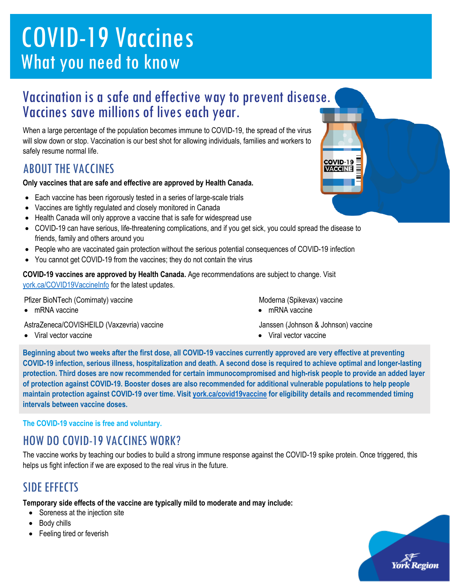# COVID-19 Vaccines What you need to know

## Vaccination is a safe and effective way to prevent disease. Vaccines save millions of lives each year.

When a large percentage of the population becomes immune to COVID-19, the spread of the virus will slow down or stop. Vaccination is our best shot for allowing individuals, families and workers to safely resume normal life.

#### ABOUT THE VACCINES

**Only vaccines that are safe and effective are approved by Health Canada.**

- Each vaccine has been rigorously tested in a series of large-scale trials
- Vaccines are tightly regulated and closely monitored in Canada
- Health Canada will only approve a vaccine that is safe for widespread use
- COVID-19 can have serious, life-threatening complications, and if you get sick, you could spread the disease to friends, family and others around you
- People who are vaccinated gain protection without the serious potential consequences of COVID-19 infection
- You cannot get COVID-19 from the vaccines; they do not contain the virus

**COVID-19 vaccines are approved by Health Canada.** Age recommendations are subject to change. Visit [york.ca/COVID19VaccineInfo](http://www.york.ca/COVID19VaccineInfo) for the latest updates.

Pfizer BioNTech (Comirnaty) vaccine

• mRNA vaccine

AstraZeneca/COVISHEILD (Vaxzevria) vaccine

• Viral vector vaccine

- Moderna (Spikevax) vaccine
- mRNA vaccine

Janssen (Johnson & Johnson) vaccine

COVID-19 **VACCINE** 

• Viral vector vaccine

**Beginning about two weeks after the first dose, all COVID-19 vaccines currently approved are very effective at preventing COVID-19 infection, serious illness, hospitalization and death. A second dose is required to achieve optimal and longer-lasting protection. Third doses are now recommended for certain immunocompromised and high-risk people to provide an added layer of protection against COVID-19. Booster doses are also recommended for additional vulnerable populations to help people maintain protection against COVID-19 over time. Visit [york.ca/covid19vaccine](http://www.york.ca/covid19vaccine) for eligibility details and recommended timing intervals between vaccine doses.**

**The COVID-19 vaccine is free and voluntary.**

#### HOW DO COVID-19 VACCINES WORK?

The vaccine works by teaching our bodies to build a strong immune response against the COVID-19 spike protein. Once triggered, this helps us fight infection if we are exposed to the real virus in the future.

#### SIDE EFFECTS

**Temporary side effects of the vaccine are typically mild to moderate and may include:**

- Soreness at the injection site
- Body chills
- Feeling tired or feverish